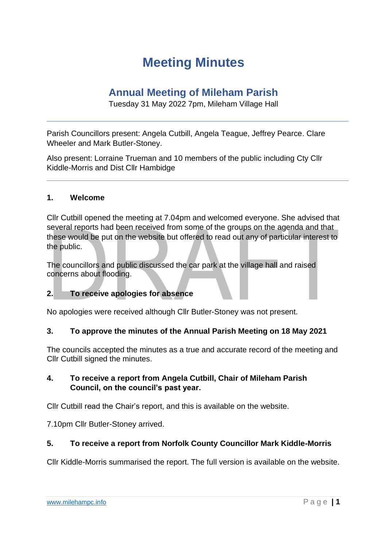# **Meeting Minutes**

## **Annual Meeting of Mileham Parish**

Tuesday 31 May 2022 7pm, Mileham Village Hall

Parish Councillors present: Angela Cutbill, Angela Teague, Jeffrey Pearce. Clare Wheeler and Mark Butler-Stoney.

Also present: Lorraine Trueman and 10 members of the public including Cty Cllr Kiddle-Morris and Dist Cllr Hambidge

### **1. Welcome**

Cllr Cutbill opened the meeting at 7.04pm and welcomed everyone. She advised that several reports had been received from some of the groups on the agenda and that these would be put on the website but offered to read out any of particular interest to the public.

The councillors and public discussed the car park at the village hall and raised concerns about flooding.

### **2. To receive apologies for absence**

No apologies were received although Cllr Butler-Stoney was not present.

### **3. To approve the minutes of the Annual Parish Meeting on 18 May 2021**

The councils accepted the minutes as a true and accurate record of the meeting and Cllr Cutbill signed the minutes.

### **4. To receive a report from Angela Cutbill, Chair of Mileham Parish Council, on the council's past year.**

Cllr Cutbill read the Chair's report, and this is available on the website.

7.10pm Cllr Butler-Stoney arrived.

### **5. To receive a report from Norfolk County Councillor Mark Kiddle-Morris**

Cllr Kiddle-Morris summarised the report. The full version is available on the website.